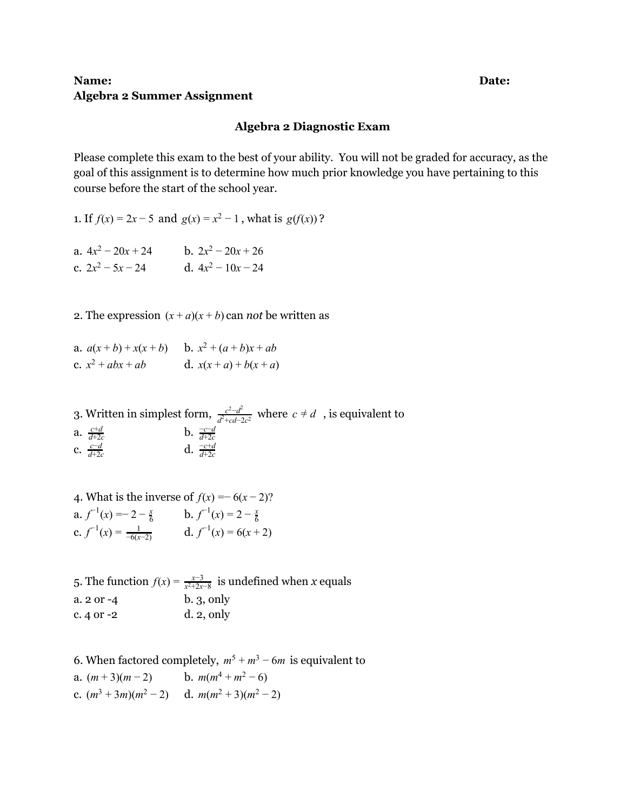## **Name: Date: Algebra 2 Summer Assignment**

## **Algebra 2 Diagnostic Exam**

Please complete this exam to the best of your ability. You will not be graded for accuracy, as the goal of this assignment is to determine how much prior knowledge you have pertaining to this course before the start of the school year.

1. If  $f(x) = 2x - 5$  and  $g(x) = x^2 - 1$ , what is  $g(f(x))$ ?

| a. $4x^2 - 20x + 24$ |  | b. $2x^2 - 20x + 26$ |  |
|----------------------|--|----------------------|--|
| c. $2x^2 - 5x - 24$  |  | d. $4x^2 - 10x - 24$ |  |

2. The expression  $(x + a)(x + b)$  can *not* be written as

a.  $a(x+b)+x(x+b)$  b.  $x^2+(a+b)x+ab$ c.  $x^2 + abx + ab$  d.  $x(x + a) + b(x + a)$ 

3. Written in simplest form,  $\frac{c^2-d^2}{\sqrt{2}}$  where  $c \neq d$ , is equivalent to  $\frac{c^2-d^2}{d^2+cd-2c^2}$  where  $c \neq d$ a. *c*+*d d*+2*c* **b.**  $\frac{-c-d}{d+2c}$ c. *c*−*d d*+2*c* **d.**  $\frac{-c+d}{d+2c}$ 

4. What is the inverse of  $f(x) = -6(x-2)$ ? a.  $f^{-1}(x) = -2 - \frac{x}{6}$  b.  $f^{-1}(x) = 2 - \frac{x}{6}$ c.  $f^{-1}(x) = \frac{1}{-6(x-2)}$  d.  $f^{-1}(x) = 6(x+2)$ 

5. The function  $f(x) = \frac{x-3}{x^2+2x-8}$  is undefined when *x* equals *x*<sup>2+2*x*−8</sub></sup> a. 2 or -4 b. 3, only c. 4 or -2 d. 2, only

6. When factored completely,  $m^5 + m^3 - 6m$  is equivalent to a.  $(m+3)(m-2)$  b.  $m(m^4 + m^2 - 6)$ c.  $(m^3 + 3m)(m^2 - 2)$  d.  $m(m^2 + 3)(m^2 - 2)$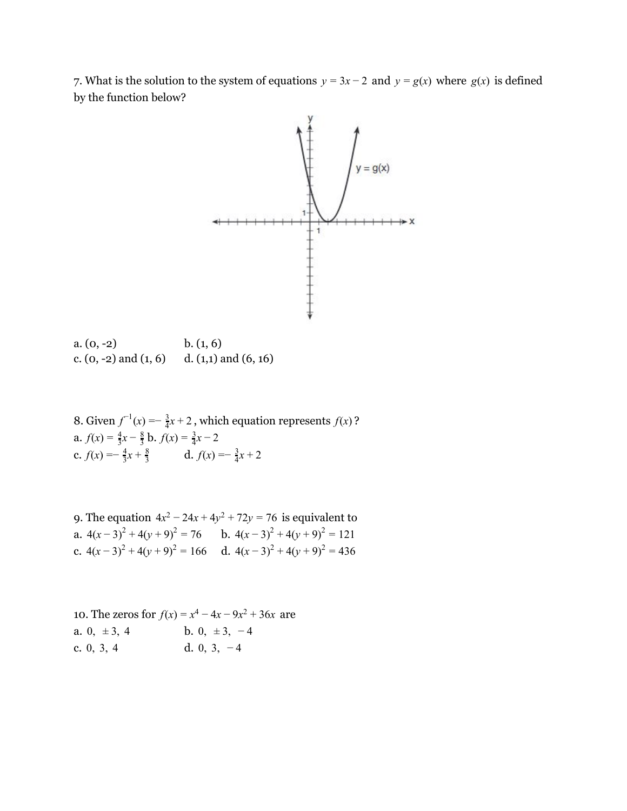7. What is the solution to the system of equations  $y = 3x - 2$  and  $y = g(x)$  where  $g(x)$  is defined by the function below?



| $a. (0, -2)$              | b. (1, 6)                |
|---------------------------|--------------------------|
| c. $(0, -2)$ and $(1, 6)$ | d. $(1,1)$ and $(6, 16)$ |

8. Given  $f^{-1}(x) = -\frac{3}{4}x + 2$ , which equation represents  $f(x)$ ? a.  $f(x) = \frac{4}{3}x - \frac{8}{3}$  b.  $f(x) = \frac{3}{4}x - 2$ c.  $f(x) = -\frac{4}{3}x + \frac{8}{3}$  d.  $f(x) = -\frac{3}{4}x + 2$ 

9. The equation  $4x^2 - 24x + 4y^2 + 72y = 76$  is equivalent to a.  $4(x-3)^2 + 4(y+9)^2 = 76$  b.  $4(x-3)^2 + 4(y+9)^2 = 121$ c.  $4(x-3)^2 + 4(y+9)^2 = 166$  d.  $4(x-3)^2 + 4(y+9)^2 = 436$ 

10. The zeros for  $f(x) = x^4 - 4x - 9x^2 + 36x$  are a. 0,  $\pm 3$ , 4 b. 0,  $\pm 3$ , -4 c. 0, 3, 4 d. 0, 3, − 4